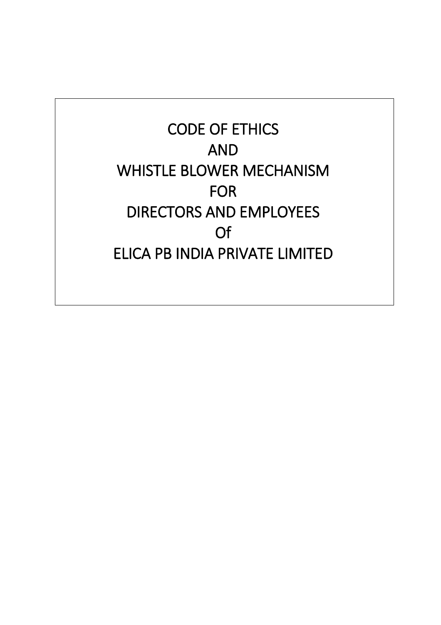**CODE OF ETHICS AND WHISTLE BLOWER MECHANISM FOR DIRECTORS AND EMPLOYEES Of ELICA PB INDIA PRIVATE LIMITED**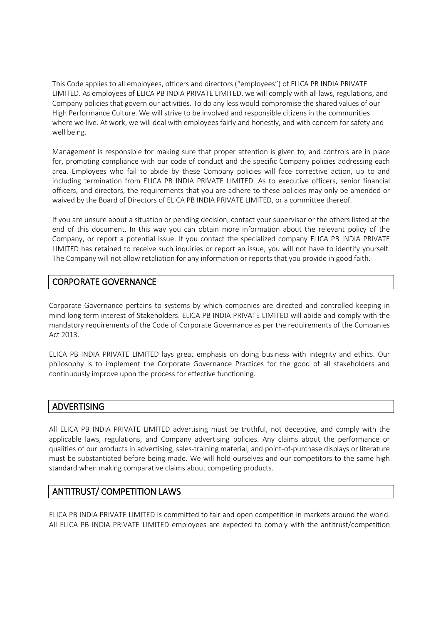This Code applies to all employees, officers and directors ("employees") of ELICA PB INDIA PRIVATE LIMITED. As employees of ELICA PB INDIA PRIVATE LIMITED, we will comply with all laws, regulations, and Company policies that govern our activities. To do any less would compromise the shared values of our High Performance Culture. We will strive to be involved and responsible citizens in the communities where we live. At work, we will deal with employees fairly and honestly, and with concern for safety and well being.

Management is responsible for making sure that proper attention is given to, and controls are in place for, promoting compliance with our code of conduct and the specific Company policies addressing each area. Employees who fail to abide by these Company policies will face corrective action, up to and including termination from ELICA PB INDIA PRIVATE LIMITED. As to executive officers, senior financial officers, and directors, the requirements that you are adhere to these policies may only be amended or waived by the Board of Directors of ELICA PB INDIA PRIVATE LIMITED, or a committee thereof.

If you are unsure about a situation or pending decision, contact your supervisor or the others listed at the end of this document. In this way you can obtain more information about the relevant policy of the Company, or report a potential issue. If you contact the specialized company ELICA PB INDIA PRIVATE LIMITED has retained to receive such inquiries or report an issue, you will not have to identify yourself. The Company will not allow retaliation for any information or reports that you provide in good faith.

# **CORPORATE GOVERNANCE**

Corporate Governance pertains to systems by which companies are directed and controlled keeping in mind long term interest of Stakeholders. ELICA PB INDIA PRIVATE LIMITED will abide and comply with the mandatory requirements of the Code of Corporate Governance as per the requirements of the Companies Act 2013.

ELICA PB INDIA PRIVATE LIMITED lays great emphasis on doing business with integrity and ethics. Our philosophy is to implement the Corporate Governance Practices for the good of all stakeholders and continuously improve upon the process for effective functioning.

### **ADVERTISING**

All ELICA PB INDIA PRIVATE LIMITED advertising must be truthful, not deceptive, and comply with the applicable laws, regulations, and Company advertising policies. Any claims about the performance or qualities of our products in advertising, sales-training material, and point-of-purchase displays or literature must be substantiated before being made. We will hold ourselves and our competitors to the same high standard when making comparative claims about competing products.

# **ANTITRUST/ COMPETITION LAWS**

ELICA PB INDIA PRIVATE LIMITED is committed to fair and open competition in markets around the world. All ELICA PB INDIA PRIVATE LIMITED employees are expected to comply with the antitrust/competition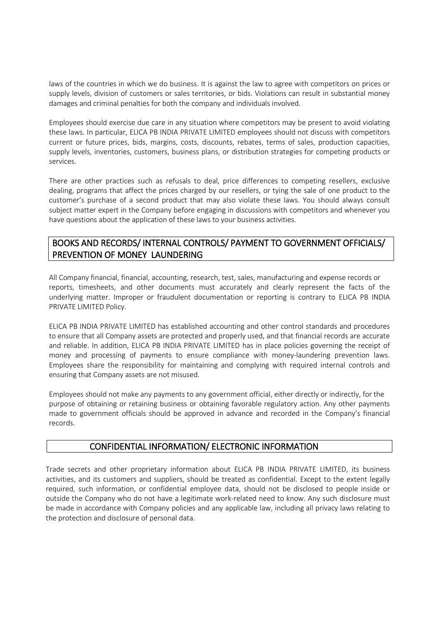laws of the countries in which we do business. It is against the law to agree with competitors on prices or supply levels, division of customers or sales territories, or bids. Violations can result in substantial money damages and criminal penalties for both the company and individuals involved.

Employees should exercise due care in any situation where competitors may be present to avoid violating these laws. In particular, ELICA PB INDIA PRIVATE LIMITED employees should not discuss with competitors current or future prices, bids, margins, costs, discounts, rebates, terms of sales, production capacities, supply levels, inventories, customers, business plans, or distribution strategies for competing products or services.

There are other practices such as refusals to deal, price differences to competing resellers, exclusive dealing, programs that affect the prices charged by our resellers, or tying the sale of one product to the customer's purchase of a second product that may also violate these laws. You should always consult subject matter expert in the Company before engaging in discussions with competitors and whenever you have questions about the application of these laws to your business activities.

# **BOOKS AND RECORDS/ INTERNAL CONTROLS/ PAYMENT TO GOVERNMENT OFFICIALS/ PREVENTION OF MONEY LAUNDERING**

All Company financial, financial, accounting, research, test, sales, manufacturing and expense records or reports, timesheets, and other documents must accurately and clearly represent the facts of the underlying matter. Improper or fraudulent documentation or reporting is contrary to ELICA PB INDIA PRIVATE LIMITED Policy.

ELICA PB INDIA PRIVATE LIMITED has established accounting and other control standards and procedures to ensure that all Company assets are protected and properly used, and that financial records are accurate and reliable. In addition, ELICA PB INDIA PRIVATE LIMITED has in place policies governing the receipt of money and processing of payments to ensure compliance with money-laundering prevention laws. Employees share the responsibility for maintaining and complying with required internal controls and ensuring that Company assets are not misused.

Employees should not make any payments to any government official, either directly or indirectly, for the purpose of obtaining or retaining business or obtaining favorable regulatory action. Any other payments made to government officials should be approved in advance and recorded in the Company's financial records.

### **CONFIDENTIAL INFORMATION/ ELECTRONIC INFORMATION**

Trade secrets and other proprietary information about ELICA PB INDIA PRIVATE LIMITED, its business activities, and its customers and suppliers, should be treated as confidential. Except to the extent legally required, such information, or confidential employee data, should not be disclosed to people inside or outside the Company who do not have a legitimate work-related need to know. Any such disclosure must be made in accordance with Company policies and any applicable law, including all privacy laws relating to the protection and disclosure of personal data.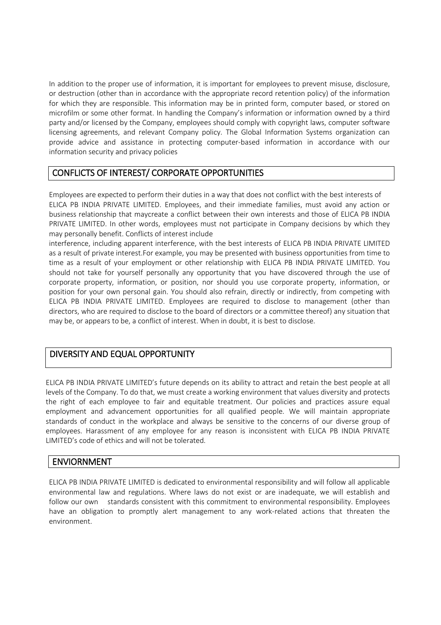In addition to the proper use of information, it is important for employees to prevent misuse, disclosure, or destruction (other than in accordance with the appropriate record retention policy) of the information for which they are responsible. This information may be in printed form, computer based, or stored on microfilm or some other format. In handling the Company's information or information owned by a third party and/or licensed by the Company, employees should comply with copyright laws, computer software licensing agreements, and relevant Company policy. The Global Information Systems organization can provide advice and assistance in protecting computer-based information in accordance with our information security and privacy policies

### **CONFLICTS OF INTEREST/ CORPORATE OPPORTUNITIES**

Employees are expected to perform their duties in a way that does not conflict with the best interests of ELICA PB INDIA PRIVATE LIMITED. Employees, and their immediate families, must avoid any action or business relationship that maycreate a conflict between their own interests and those of ELICA PB INDIA PRIVATE LIMITED. In other words, employees must not participate in Company decisions by which they may personally benefit. Conflicts of interest include

interference, including apparent interference, with the best interests of ELICA PB INDIA PRIVATE LIMITED as a result of private interest.For example, you may be presented with business opportunities from time to time as a result of your employment or other relationship with ELICA PB INDIA PRIVATE LIMITED. You should not take for yourself personally any opportunity that you have discovered through the use of corporate property, information, or position, nor should you use corporate property, information, or position for your own personal gain. You should also refrain, directly or indirectly, from competing with ELICA PB INDIA PRIVATE LIMITED. Employees are required to disclose to management (other than directors, who are required to disclose to the board of directors or a committee thereof) any situation that may be, or appears to be, a conflict of interest. When in doubt, it is best to disclose.

# **DIVERSITY AND EQUAL OPPORTUNITY**

ELICA PB INDIA PRIVATE LIMITED's future depends on its ability to attract and retain the best people at all levels of the Company. To do that, we must create a working environment that values diversity and protects the right of each employee to fair and equitable treatment. Our policies and practices assure equal employment and advancement opportunities for all qualified people. We will maintain appropriate standards of conduct in the workplace and always be sensitive to the concerns of our diverse group of employees. Harassment of any employee for any reason is inconsistent with ELICA PB INDIA PRIVATE LIMITED's code of ethics and will not be tolerated.

# **ENVIORNMENT**

ELICA PB INDIA PRIVATE LIMITED is dedicated to environmental responsibility and will follow all applicable environmental law and regulations. Where laws do not exist or are inadequate, we will establish and follow our own standards consistent with this commitment to environmental responsibility. Employees have an obligation to promptly alert management to any work-related actions that threaten the environment.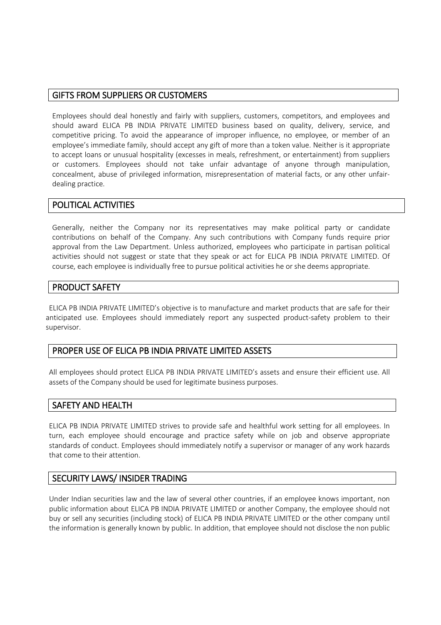#### **GIFTS FROM SUPPLIERS OR CUSTOMERS**

Employees should deal honestly and fairly with suppliers, customers, competitors, and employees and should award ELICA PB INDIA PRIVATE LIMITED business based on quality, delivery, service, and competitive pricing. To avoid the appearance of improper influence, no employee, or member of an employee's immediate family, should accept any gift of more than a token value. Neither is it appropriate to accept loans or unusual hospitality (excesses in meals, refreshment, or entertainment) from suppliers or customers. Employees should not take unfair advantage of anyone through manipulation, concealment, abuse of privileged information, misrepresentation of material facts, or any other unfairdealing practice.

## **POLITICAL ACTIVITIES**

Generally, neither the Company nor its representatives may make political party or candidate contributions on behalf of the Company. Any such contributions with Company funds require prior approval from the Law Department. Unless authorized, employees who participate in partisan political activities should not suggest or state that they speak or act for ELICA PB INDIA PRIVATE LIMITED. Of course, each employee is individually free to pursue political activities he or she deems appropriate.

#### **PRODUCT SAFETY**

ELICA PB INDIA PRIVATE LIMITED's objective is to manufacture and market products that are safe for their anticipated use. Employees should immediately report any suspected product-safety problem to their supervisor.

### **PROPER USE OF ELICA PB INDIA PRIVATE LIMITED ASSETS**

All employees should protect ELICA PB INDIA PRIVATE LIMITED's assets and ensure their efficient use. All assets of the Company should be used for legitimate business purposes.

### **SAFETY AND HEALTH**

ELICA PB INDIA PRIVATE LIMITED strives to provide safe and healthful work setting for all employees. In turn, each employee should encourage and practice safety while on job and observe appropriate standards of conduct. Employees should immediately notify a supervisor or manager of any work hazards that come to their attention.

### **SECURITY LAWS/ INSIDER TRADING**

Under Indian securities law and the law of several other countries, if an employee knows important, non public information about ELICA PB INDIA PRIVATE LIMITED or another Company, the employee should not buy or sell any securities (including stock) of ELICA PB INDIA PRIVATE LIMITED or the other company until the information is generally known by public. In addition, that employee should not disclose the non public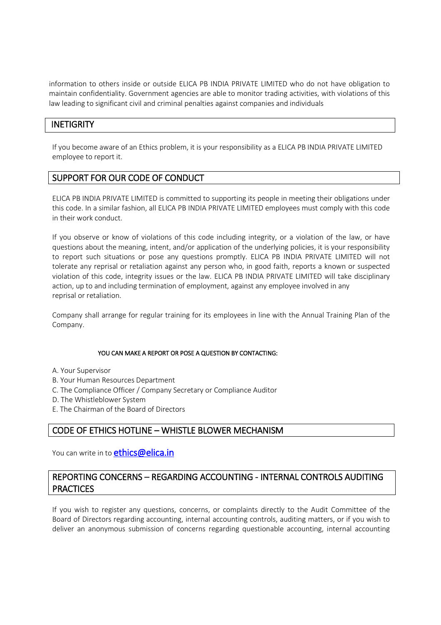information to others inside or outside ELICA PB INDIA PRIVATE LIMITED who do not have obligation to maintain confidentiality. Government agencies are able to monitor trading activities, with violations of this law leading to significant civil and criminal penalties against companies and individuals

## **INETIGRITY**

If you become aware of an Ethics problem, it is your responsibility as a ELICA PB INDIA PRIVATE LIMITED employee to report it.

## **SUPPORT FOR OUR CODE OF CONDUCT**

ELICA PB INDIA PRIVATE LIMITED is committed to supporting its people in meeting their obligations under this code. In a similar fashion, all ELICA PB INDIA PRIVATE LIMITED employees must comply with this code in their work conduct.

If you observe or know of violations of this code including integrity, or a violation of the law, or have questions about the meaning, intent, and/or application of the underlying policies, it is your responsibility to report such situations or pose any questions promptly. ELICA PB INDIA PRIVATE LIMITED will not tolerate any reprisal or retaliation against any person who, in good faith, reports a known or suspected violation of this code, integrity issues or the law. ELICA PB INDIA PRIVATE LIMITED will take disciplinary action, up to and including termination of employment, against any employee involved in any reprisal or retaliation.

Company shall arrange for regular training for its employees in line with the Annual Training Plan of the Company.

#### **YOU CAN MAKE A REPORT OR POSE A QUESTION BY CONTACTING:**

- A. Your Supervisor
- B. Your Human Resources Department
- C. The Compliance Officer / Company Secretary or Compliance Auditor
- D. The Whistleblower System
- E. The Chairman of the Board of Directors

# **CODE OF ETHICS HOTLINE – WHISTLE BLOWER MECHANISM**

You can write in to **[ethics@elica.in](mailto:ethics@elica.in)**

## **REPORTING CONCERNS – REGARDING ACCOUNTING - INTERNAL CONTROLS AUDITING PRACTICES**

If you wish to register any questions, concerns, or complaints directly to the Audit Committee of the Board of Directors regarding accounting, internal accounting controls, auditing matters, or if you wish to deliver an anonymous submission of concerns regarding questionable accounting, internal accounting